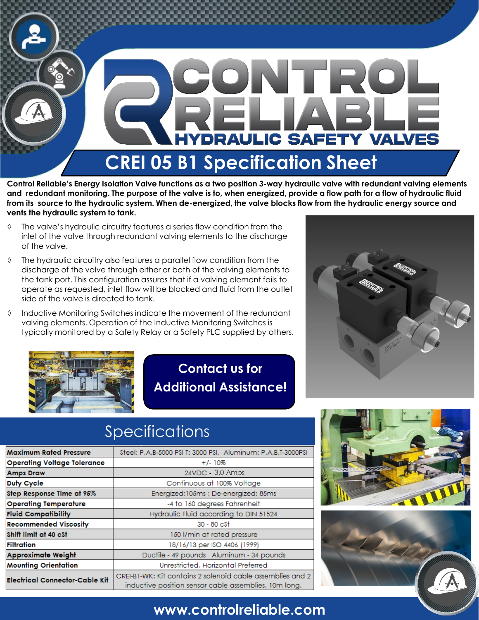

**Control Reliable's Energy Isolation Valve functions as a two position 3-way hydraulic valve with redundant valving elements and redundant monitoring. The purpose of the valve is to, when energized, provide a flow path for a flow of hydraulic fluid from its source to the hydraulic system. When de-energized, the valve blocks flow from the hydraulic energy source and vents the hydraulic system to tank.**

- $\Diamond$  The valve's hydraulic circuitry features a series flow condition from the inlet of the valve through redundant valving elements to the discharge of the valve.
- The hydraulic circuitry also features a parallel flow condition from the discharge of the valve through either or both of the valving elements to the tank port. This configuration assures that if a valving element fails to operate as requested, inlet flow will be blocked and fluid from the outlet side of the valve is directed to tank.
- $\Diamond$  Inductive Monitoring Switches indicate the movement of the redundant valving elements. Operation of the Inductive Monitoring Switches is typically monitored by a Safety Relay or a Safety PLC supplied by others.



**Contact us for Additional Assistance!**



## Specifications Specifications

| <b>Maximum Rated Pressure</b>         | Steel: P,A,B-5000 PSI T: 3000 PSI, Aluminum: P,A,B,T-3000PSI |
|---------------------------------------|--------------------------------------------------------------|
| <b>Operating Voltage Tolerance</b>    | $+/-10%$                                                     |
| <b>Amps Draw</b>                      | 24VDC - 3.0 Amps                                             |
| Duty Cycle                            | Continuous at 100% Voltage                                   |
| Step Response Time at 95%             | Energized:105ms ; De-energized: 85ms                         |
| <b>Operating Temperature</b>          | -4 to 160 degrees Fahrenheit                                 |
| <b>Fluid Compatibility</b>            | Hydraulic Fluid according to DIN 51524                       |
| <b>Recommended Viscosity</b>          | $30 - 80 \text{ c}$                                          |
| Shift limit at 40 cSt                 | 150 l/min at rated pressure                                  |
| Filtration                            | 18/16/13 per ISO 4406 (1999)                                 |
| <b>Approximate Weight</b>             | Ductile - 49 pounds Aluminum - 34 pounds                     |
| <b>Mounting Orientation</b>           | Unrestricted, Horizontal Preferred                           |
| <b>Electrical Connector-Cable Kit</b> | CREI-B1-WK: Kit contains 2 solenoid cable assemblies and 2   |
|                                       | inductive position sensor cable assemblies, 10m long.        |





## **www.controlreliable.com**